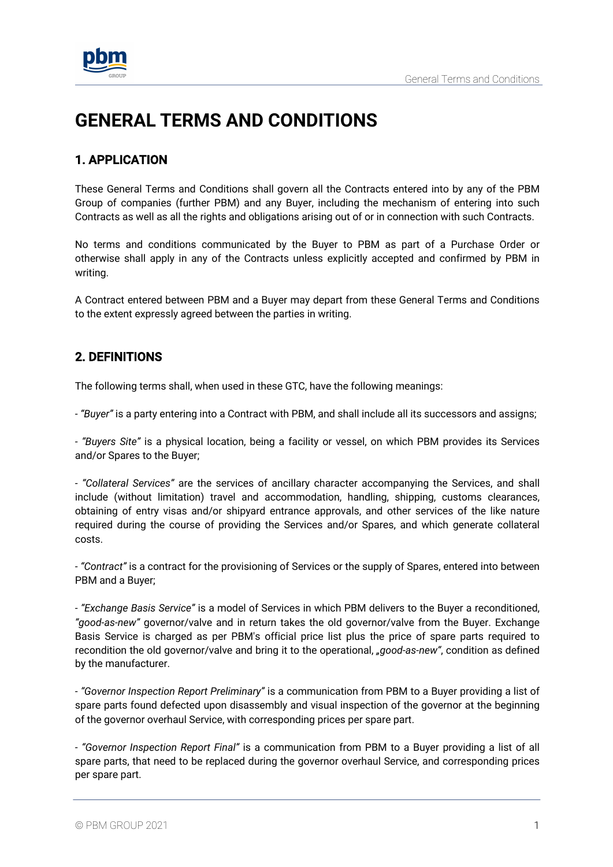

# **GENERAL TERMS AND CONDITIONS**

# 1. APPLICATION

These General Terms and Conditions shall govern all the Contracts entered into by any of the PBM Group of companies (further PBM) and any Buyer, including the mechanism of entering into such Contracts as well as all the rights and obligations arising out of or in connection with such Contracts.

No terms and conditions communicated by the Buyer to PBM as part of a Purchase Order or otherwise shall apply in any of the Contracts unless explicitly accepted and confirmed by PBM in writing.

A Contract entered between PBM and a Buyer may depart from these General Terms and Conditions to the extent expressly agreed between the parties in writing.

# 2. DEFINITIONS

The following terms shall, when used in these GTC, have the following meanings:

*- "Buyer"* is a party entering into a Contract with PBM, and shall include all its successors and assigns;

*- "Buyers Site"* is a physical location, being a facility or vessel, on which PBM provides its Services and/or Spares to the Buyer;

*- "Collateral Services"* are the services of ancillary character accompanying the Services, and shall include (without limitation) travel and accommodation, handling, shipping, customs clearances, obtaining of entry visas and/or shipyard entrance approvals, and other services of the like nature required during the course of providing the Services and/or Spares, and which generate collateral costs.

*- "Contract"* is a contract for the provisioning of Services or the supply of Spares, entered into between PBM and a Buyer;

*- "Exchange Basis Service"* is a model of Services in which PBM delivers to the Buyer a reconditioned, *"good-as-new"* governor/valve and in return takes the old governor/valve from the Buyer. Exchange Basis Service is charged as per PBM's official price list plus the price of spare parts required to recondition the old governor/valve and bring it to the operational, *"good-as-new"*, condition as defined by the manufacturer.

*- "Governor Inspection Report Preliminary"* is a communication from PBM to a Buyer providing a list of spare parts found defected upon disassembly and visual inspection of the governor at the beginning of the governor overhaul Service, with corresponding prices per spare part.

*- "Governor Inspection Report Final"* is a communication from PBM to a Buyer providing a list of all spare parts, that need to be replaced during the governor overhaul Service, and corresponding prices per spare part.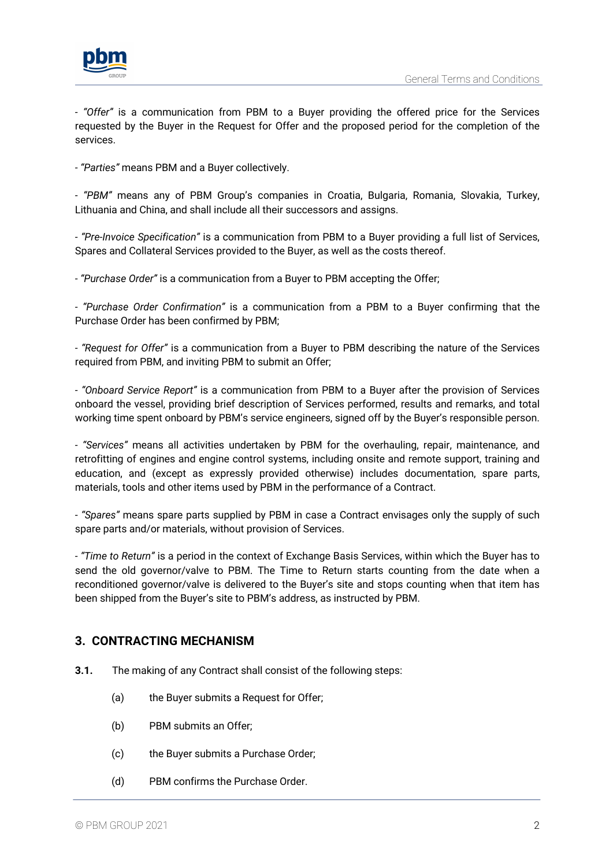

*- "Offer"* is a communication from PBM to a Buyer providing the offered price for the Services requested by the Buyer in the Request for Offer and the proposed period for the completion of the services.

*- "Parties"* means PBM and a Buyer collectively.

*- "PBM"* means any of PBM Group's companies in Croatia, Bulgaria, Romania, Slovakia, Turkey, Lithuania and China, and shall include all their successors and assigns.

*- "Pre-Invoice Specification"* is a communication from PBM to a Buyer providing a full list of Services, Spares and Collateral Services provided to the Buyer, as well as the costs thereof.

*- "Purchase Order"* is a communication from a Buyer to PBM accepting the Offer;

*- "Purchase Order Confirmation"* is a communication from a PBM to a Buyer confirming that the Purchase Order has been confirmed by PBM;

*- "Request for Offer"* is a communication from a Buyer to PBM describing the nature of the Services required from PBM, and inviting PBM to submit an Offer;

*- "Onboard Service Report"* is a communication from PBM to a Buyer after the provision of Services onboard the vessel, providing brief description of Services performed, results and remarks, and total working time spent onboard by PBM's service engineers, signed off by the Buyer's responsible person.

*- "Services"* means all activities undertaken by PBM for the overhauling, repair, maintenance, and retrofitting of engines and engine control systems, including onsite and remote support, training and education, and (except as expressly provided otherwise) includes documentation, spare parts, materials, tools and other items used by PBM in the performance of a Contract.

- *"Spares"* means spare parts supplied by PBM in case a Contract envisages only the supply of such spare parts and/or materials, without provision of Services.

*- "Time to Return"* is a period in the context of Exchange Basis Services, within which the Buyer has to send the old governor/valve to PBM. The Time to Return starts counting from the date when a reconditioned governor/valve is delivered to the Buyer's site and stops counting when that item has been shipped from the Buyer's site to PBM's address, as instructed by PBM.

# **3. CONTRACTING MECHANISM**

- **3.1.** The making of any Contract shall consist of the following steps:
	- (a) the Buyer submits a Request for Offer;
	- (b) PBM submits an Offer;
	- (c) the Buyer submits a Purchase Order;
	- (d) PBM confirms the Purchase Order.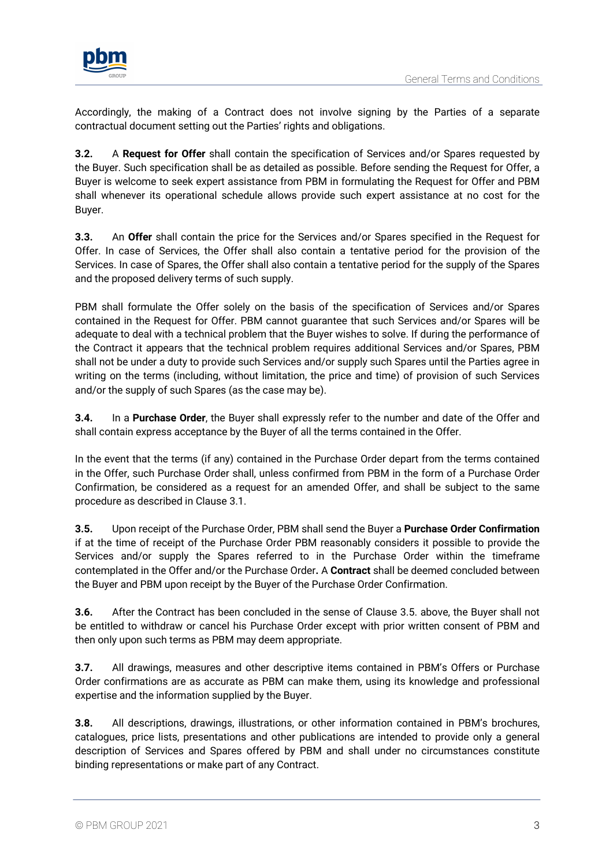

Accordingly, the making of a Contract does not involve signing by the Parties of a separate contractual document setting out the Parties' rights and obligations.

**3.2.** A **Request for Offer** shall contain the specification of Services and/or Spares requested by the Buyer. Such specification shall be as detailed as possible. Before sending the Request for Offer, a Buyer is welcome to seek expert assistance from PBM in formulating the Request for Offer and PBM shall whenever its operational schedule allows provide such expert assistance at no cost for the Buyer.

**3.3.** An **Offer** shall contain the price for the Services and/or Spares specified in the Request for Offer. In case of Services, the Offer shall also contain a tentative period for the provision of the Services. In case of Spares, the Offer shall also contain a tentative period for the supply of the Spares and the proposed delivery terms of such supply.

PBM shall formulate the Offer solely on the basis of the specification of Services and/or Spares contained in the Request for Offer. PBM cannot guarantee that such Services and/or Spares will be adequate to deal with a technical problem that the Buyer wishes to solve. If during the performance of the Contract it appears that the technical problem requires additional Services and/or Spares, PBM shall not be under a duty to provide such Services and/or supply such Spares until the Parties agree in writing on the terms (including, without limitation, the price and time) of provision of such Services and/or the supply of such Spares (as the case may be).

**3.4.** In a **Purchase Order**, the Buyer shall expressly refer to the number and date of the Offer and shall contain express acceptance by the Buyer of all the terms contained in the Offer.

In the event that the terms (if any) contained in the Purchase Order depart from the terms contained in the Offer, such Purchase Order shall, unless confirmed from PBM in the form of a Purchase Order Confirmation, be considered as a request for an amended Offer, and shall be subject to the same procedure as described in Clause 3.1.

**3.5.** Upon receipt of the Purchase Order, PBM shall send the Buyer a **Purchase Order Confirmation** if at the time of receipt of the Purchase Order PBM reasonably considers it possible to provide the Services and/or supply the Spares referred to in the Purchase Order within the timeframe contemplated in the Offer and/or the Purchase Order**.** A **Contract** shall be deemed concluded between the Buyer and PBM upon receipt by the Buyer of the Purchase Order Confirmation.

**3.6.** After the Contract has been concluded in the sense of Clause 3.5. above, the Buyer shall not be entitled to withdraw or cancel his Purchase Order except with prior written consent of PBM and then only upon such terms as PBM may deem appropriate.

**3.7.** All drawings, measures and other descriptive items contained in PBM's Offers or Purchase Order confirmations are as accurate as PBM can make them, using its knowledge and professional expertise and the information supplied by the Buyer.

**3.8.** All descriptions, drawings, illustrations, or other information contained in PBM's brochures, catalogues, price lists, presentations and other publications are intended to provide only a general description of Services and Spares offered by PBM and shall under no circumstances constitute binding representations or make part of any Contract.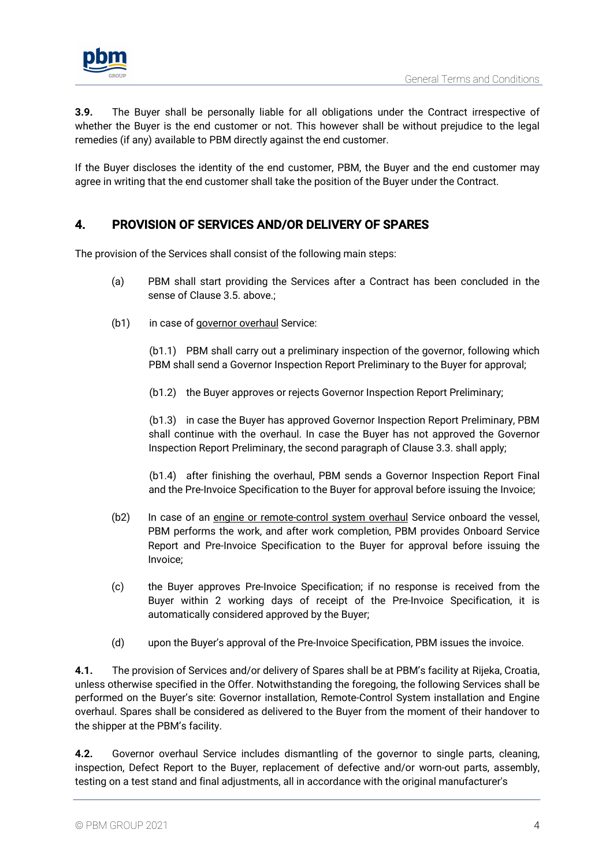

**3.9.** The Buyer shall be personally liable for all obligations under the Contract irrespective of whether the Buyer is the end customer or not. This however shall be without prejudice to the legal remedies (if any) available to PBM directly against the end customer.

If the Buyer discloses the identity of the end customer, PBM, the Buyer and the end customer may agree in writing that the end customer shall take the position of the Buyer under the Contract.

# 4. PROVISION OF SERVICES AND/OR DELIVERY OF SPARES

The provision of the Services shall consist of the following main steps:

- (a) PBM shall start providing the Services after a Contract has been concluded in the sense of Clause 3.5. above.;
- (b1) in case of governor overhaul Service:

(b1.1) PBM shall carry out a preliminary inspection of the governor, following which PBM shall send a Governor Inspection Report Preliminary to the Buyer for approval;

(b1.2) the Buyer approves or rejects Governor Inspection Report Preliminary;

(b1.3) in case the Buyer has approved Governor Inspection Report Preliminary, PBM shall continue with the overhaul. In case the Buyer has not approved the Governor Inspection Report Preliminary, the second paragraph of Clause 3.3. shall apply;

(b1.4) after finishing the overhaul, PBM sends a Governor Inspection Report Final and the Pre-Invoice Specification to the Buyer for approval before issuing the Invoice;

- (b2) In case of an engine or remote-control system overhaul Service onboard the vessel, PBM performs the work, and after work completion, PBM provides Onboard Service Report and Pre-Invoice Specification to the Buyer for approval before issuing the Invoice;
- (c) the Buyer approves Pre-Invoice Specification; if no response is received from the Buyer within 2 working days of receipt of the Pre-Invoice Specification, it is automatically considered approved by the Buyer;
- (d) upon the Buyer's approval of the Pre-Invoice Specification, PBM issues the invoice.

**4.1.** The provision of Services and/or delivery of Spares shall be at PBM's facility at Rijeka, Croatia, unless otherwise specified in the Offer. Notwithstanding the foregoing, the following Services shall be performed on the Buyer's site: Governor installation, Remote-Control System installation and Engine overhaul. Spares shall be considered as delivered to the Buyer from the moment of their handover to the shipper at the PBM's facility.

**4.2.** Governor overhaul Service includes dismantling of the governor to single parts, cleaning, inspection, Defect Report to the Buyer, replacement of defective and/or worn-out parts, assembly, testing on a test stand and final adjustments, all in accordance with the original manufacturer's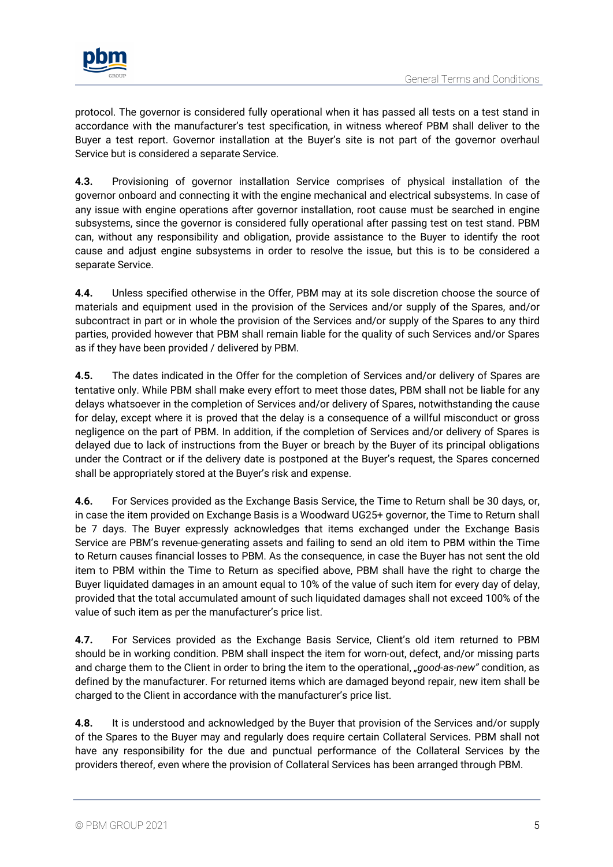

protocol. The governor is considered fully operational when it has passed all tests on a test stand in accordance with the manufacturer's test specification, in witness whereof PBM shall deliver to the Buyer a test report. Governor installation at the Buyer's site is not part of the governor overhaul Service but is considered a separate Service.

**4.3.** Provisioning of governor installation Service comprises of physical installation of the governor onboard and connecting it with the engine mechanical and electrical subsystems. In case of any issue with engine operations after governor installation, root cause must be searched in engine subsystems, since the governor is considered fully operational after passing test on test stand. PBM can, without any responsibility and obligation, provide assistance to the Buyer to identify the root cause and adjust engine subsystems in order to resolve the issue, but this is to be considered a separate Service.

**4.4.** Unless specified otherwise in the Offer, PBM may at its sole discretion choose the source of materials and equipment used in the provision of the Services and/or supply of the Spares, and/or subcontract in part or in whole the provision of the Services and/or supply of the Spares to any third parties, provided however that PBM shall remain liable for the quality of such Services and/or Spares as if they have been provided / delivered by PBM.

**4.5.** The dates indicated in the Offer for the completion of Services and/or delivery of Spares are tentative only. While PBM shall make every effort to meet those dates, PBM shall not be liable for any delays whatsoever in the completion of Services and/or delivery of Spares, notwithstanding the cause for delay, except where it is proved that the delay is a consequence of a willful misconduct or gross negligence on the part of PBM. In addition, if the completion of Services and/or delivery of Spares is delayed due to lack of instructions from the Buyer or breach by the Buyer of its principal obligations under the Contract or if the delivery date is postponed at the Buyer's request, the Spares concerned shall be appropriately stored at the Buyer's risk and expense.

**4.6.** For Services provided as the Exchange Basis Service, the Time to Return shall be 30 days, or, in case the item provided on Exchange Basis is a Woodward UG25+ governor, the Time to Return shall be 7 days. The Buyer expressly acknowledges that items exchanged under the Exchange Basis Service are PBM's revenue-generating assets and failing to send an old item to PBM within the Time to Return causes financial losses to PBM. As the consequence, in case the Buyer has not sent the old item to PBM within the Time to Return as specified above, PBM shall have the right to charge the Buyer liquidated damages in an amount equal to 10% of the value of such item for every day of delay, provided that the total accumulated amount of such liquidated damages shall not exceed 100% of the value of such item as per the manufacturer's price list.

**4.7.** For Services provided as the Exchange Basis Service, Client's old item returned to PBM should be in working condition. PBM shall inspect the item for worn-out, defect, and/or missing parts and charge them to the Client in order to bring the item to the operational, *"good-as-new"* condition, as defined by the manufacturer. For returned items which are damaged beyond repair, new item shall be charged to the Client in accordance with the manufacturer's price list.

**4.8.** It is understood and acknowledged by the Buyer that provision of the Services and/or supply of the Spares to the Buyer may and regularly does require certain Collateral Services. PBM shall not have any responsibility for the due and punctual performance of the Collateral Services by the providers thereof, even where the provision of Collateral Services has been arranged through PBM.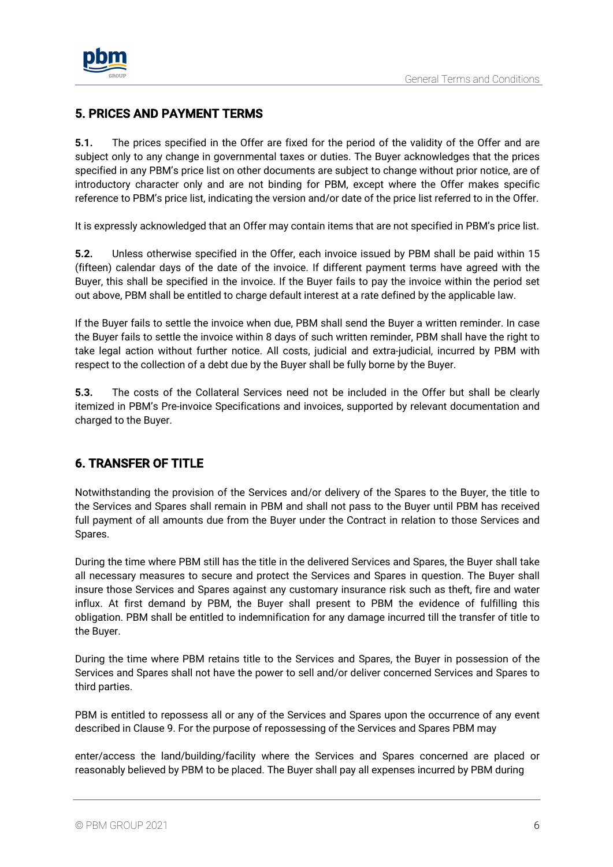

### 5. PRICES AND PAYMENT TERMS

**5.1.** The prices specified in the Offer are fixed for the period of the validity of the Offer and are subject only to any change in governmental taxes or duties. The Buyer acknowledges that the prices specified in any PBM's price list on other documents are subject to change without prior notice, are of introductory character only and are not binding for PBM, except where the Offer makes specific reference to PBM's price list, indicating the version and/or date of the price list referred to in the Offer.

It is expressly acknowledged that an Offer may contain items that are not specified in PBM's price list.

**5.2.** Unless otherwise specified in the Offer, each invoice issued by PBM shall be paid within 15 (fifteen) calendar days of the date of the invoice. If different payment terms have agreed with the Buyer, this shall be specified in the invoice. If the Buyer fails to pay the invoice within the period set out above, PBM shall be entitled to charge default interest at a rate defined by the applicable law.

If the Buyer fails to settle the invoice when due, PBM shall send the Buyer a written reminder. In case the Buyer fails to settle the invoice within 8 days of such written reminder, PBM shall have the right to take legal action without further notice. All costs, judicial and extra-judicial, incurred by PBM with respect to the collection of a debt due by the Buyer shall be fully borne by the Buyer.

**5.3.** The costs of the Collateral Services need not be included in the Offer but shall be clearly itemized in PBM's Pre-invoice Specifications and invoices, supported by relevant documentation and charged to the Buyer.

# 6. TRANSFER OF TITLE

Notwithstanding the provision of the Services and/or delivery of the Spares to the Buyer, the title to the Services and Spares shall remain in PBM and shall not pass to the Buyer until PBM has received full payment of all amounts due from the Buyer under the Contract in relation to those Services and Spares.

During the time where PBM still has the title in the delivered Services and Spares, the Buyer shall take all necessary measures to secure and protect the Services and Spares in question. The Buyer shall insure those Services and Spares against any customary insurance risk such as theft, fire and water influx. At first demand by PBM, the Buyer shall present to PBM the evidence of fulfilling this obligation. PBM shall be entitled to indemnification for any damage incurred till the transfer of title to the Buyer.

During the time where PBM retains title to the Services and Spares, the Buyer in possession of the Services and Spares shall not have the power to sell and/or deliver concerned Services and Spares to third parties.

PBM is entitled to repossess all or any of the Services and Spares upon the occurrence of any event described in Clause 9. For the purpose of repossessing of the Services and Spares PBM may

enter/access the land/building/facility where the Services and Spares concerned are placed or reasonably believed by PBM to be placed. The Buyer shall pay all expenses incurred by PBM during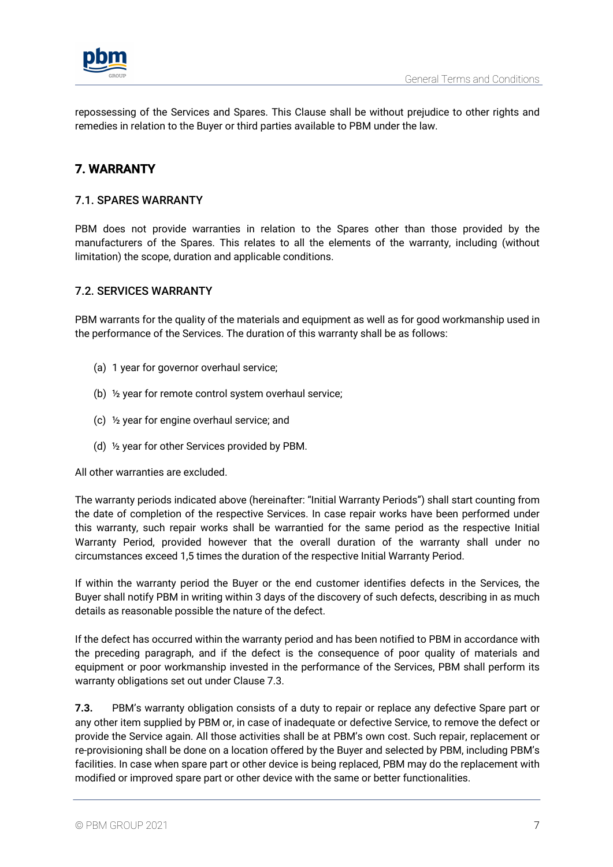

repossessing of the Services and Spares. This Clause shall be without prejudice to other rights and remedies in relation to the Buyer or third parties available to PBM under the law.

# 7. WARRANTY

#### 7.1. SPARES WARRANTY

PBM does not provide warranties in relation to the Spares other than those provided by the manufacturers of the Spares. This relates to all the elements of the warranty, including (without limitation) the scope, duration and applicable conditions.

#### 7.2. SERVICES WARRANTY

PBM warrants for the quality of the materials and equipment as well as for good workmanship used in the performance of the Services. The duration of this warranty shall be as follows:

- (a) 1 year for governor overhaul service;
- (b) ½ year for remote control system overhaul service;
- (c) ½ year for engine overhaul service; and
- (d) ½ year for other Services provided by PBM.

All other warranties are excluded.

The warranty periods indicated above (hereinafter: "Initial Warranty Periods") shall start counting from the date of completion of the respective Services. In case repair works have been performed under this warranty, such repair works shall be warrantied for the same period as the respective Initial Warranty Period, provided however that the overall duration of the warranty shall under no circumstances exceed 1,5 times the duration of the respective Initial Warranty Period.

If within the warranty period the Buyer or the end customer identifies defects in the Services, the Buyer shall notify PBM in writing within 3 days of the discovery of such defects, describing in as much details as reasonable possible the nature of the defect.

If the defect has occurred within the warranty period and has been notified to PBM in accordance with the preceding paragraph, and if the defect is the consequence of poor quality of materials and equipment or poor workmanship invested in the performance of the Services, PBM shall perform its warranty obligations set out under Clause 7.3.

**7.3.** PBM's warranty obligation consists of a duty to repair or replace any defective Spare part or any other item supplied by PBM or, in case of inadequate or defective Service, to remove the defect or provide the Service again. All those activities shall be at PBM's own cost. Such repair, replacement or re-provisioning shall be done on a location offered by the Buyer and selected by PBM, including PBM's facilities. In case when spare part or other device is being replaced, PBM may do the replacement with modified or improved spare part or other device with the same or better functionalities.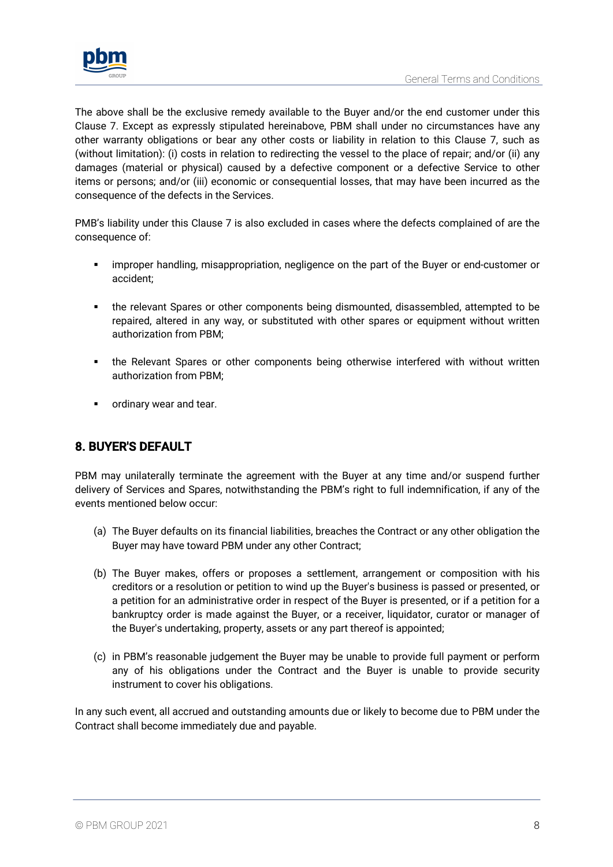

The above shall be the exclusive remedy available to the Buyer and/or the end customer under this Clause 7. Except as expressly stipulated hereinabove, PBM shall under no circumstances have any other warranty obligations or bear any other costs or liability in relation to this Clause 7, such as (without limitation): (i) costs in relation to redirecting the vessel to the place of repair; and/or (ii) any damages (material or physical) caused by a defective component or a defective Service to other items or persons; and/or (iii) economic or consequential losses, that may have been incurred as the consequence of the defects in the Services.

PMB's liability under this Clause 7 is also excluded in cases where the defects complained of are the consequence of:

- **•** improper handling, misappropriation, negligence on the part of the Buyer or end-customer or accident;
- the relevant Spares or other components being dismounted, disassembled, attempted to be repaired, altered in any way, or substituted with other spares or equipment without written authorization from PBM;
- the Relevant Spares or other components being otherwise interfered with without written authorization from PBM;
- **•** ordinary wear and tear.

# 8. BUYER'S DEFAULT

PBM may unilaterally terminate the agreement with the Buyer at any time and/or suspend further delivery of Services and Spares, notwithstanding the PBM's right to full indemnification, if any of the events mentioned below occur:

- (a) The Buyer defaults on its financial liabilities, breaches the Contract or any other obligation the Buyer may have toward PBM under any other Contract;
- (b) The Buyer makes, offers or proposes a settlement, arrangement or composition with his creditors or a resolution or petition to wind up the Buyer's business is passed or presented, or a petition for an administrative order in respect of the Buyer is presented, or if a petition for a bankruptcy order is made against the Buyer, or a receiver, liquidator, curator or manager of the Buyer's undertaking, property, assets or any part thereof is appointed;
- (c) in PBM's reasonable judgement the Buyer may be unable to provide full payment or perform any of his obligations under the Contract and the Buyer is unable to provide security instrument to cover his obligations.

In any such event, all accrued and outstanding amounts due or likely to become due to PBM under the Contract shall become immediately due and payable.